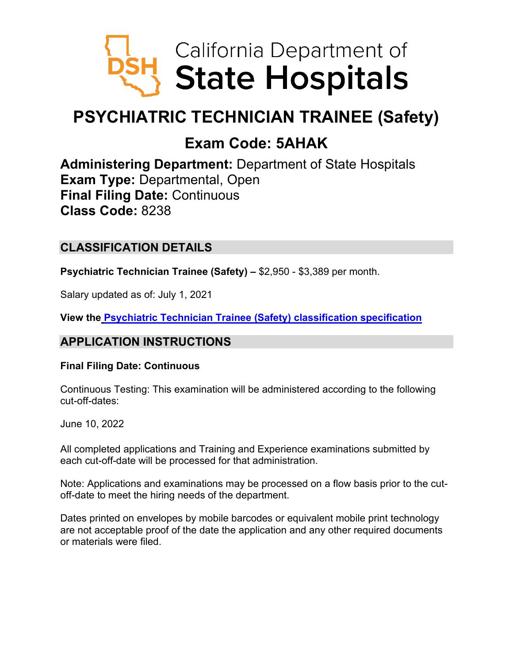

# **PSYCHIATRIC TECHNICIAN TRAINEE (Safety)**

## **Exam Code: 5AHAK**

**Administering Department:** Department of State Hospitals **Exam Type:** Departmental, Open **Final Filing Date:** Continuous **Class Code:** 8238

## **CLASSIFICATION DETAILS**

**Psychiatric Technician Trainee (Safety) –** \$2,950 - \$3,389 per month.

Salary updated as of: July 1, 2021

**View the [Psychiatric Technician Trainee \(Safety\) classification specification](https://www.calhr.ca.gov/state-hr-professionals/Pages/8238.aspx)**

## **APPLICATION INSTRUCTIONS**

#### **Final Filing Date: Continuous**

Continuous Testing: This examination will be administered according to the following cut-off-dates:

June 10, 2022

All completed applications and Training and Experience examinations submitted by each cut-off-date will be processed for that administration.

Note: Applications and examinations may be processed on a flow basis prior to the cutoff-date to meet the hiring needs of the department.

Dates printed on envelopes by mobile barcodes or equivalent mobile print technology are not acceptable proof of the date the application and any other required documents or materials were filed.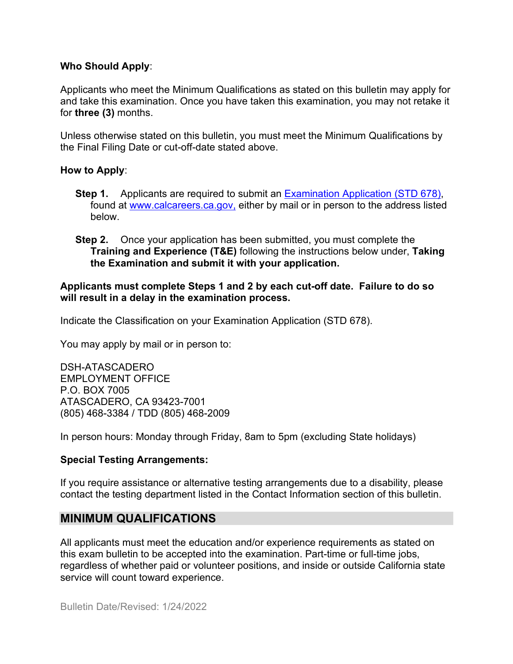#### **Who Should Apply**:

Applicants who meet the Minimum Qualifications as stated on this bulletin may apply for and take this examination. Once you have taken this examination, you may not retake it for **three (3)** months.

Unless otherwise stated on this bulletin, you must meet the Minimum Qualifications by the Final Filing Date or cut-off-date stated above.

#### **How to Apply**:

- **Step 1.** Applicants are required to submit an [Examination Application \(STD 678\),](https://jobs.ca.gov/pdf/std678.pdf) found at [www.calcareers.ca.gov,](http://www.calcareers.ca.gov/) either by mail or in person to the address listed below.
- **Step 2.** Once your application has been submitted, you must complete the **Training and Experience (T&E)** following the instructions below under, **Taking the Examination and submit it with your application.**

#### **Applicants must complete Steps 1 and 2 by each cut-off date. Failure to do so will result in a delay in the examination process.**

Indicate the Classification on your Examination Application (STD 678).

You may apply by mail or in person to:

DSH-ATASCADERO EMPLOYMENT OFFICE P.O. BOX 7005 ATASCADERO, CA 93423-7001 (805) 468-3384 / TDD (805) 468-2009

In person hours: Monday through Friday, 8am to 5pm (excluding State holidays)

#### **Special Testing Arrangements:**

If you require assistance or alternative testing arrangements due to a disability, please contact the testing department listed in the Contact Information section of this bulletin.

#### **MINIMUM QUALIFICATIONS**

All applicants must meet the education and/or experience requirements as stated on this exam bulletin to be accepted into the examination. Part-time or full-time jobs, regardless of whether paid or volunteer positions, and inside or outside California state service will count toward experience.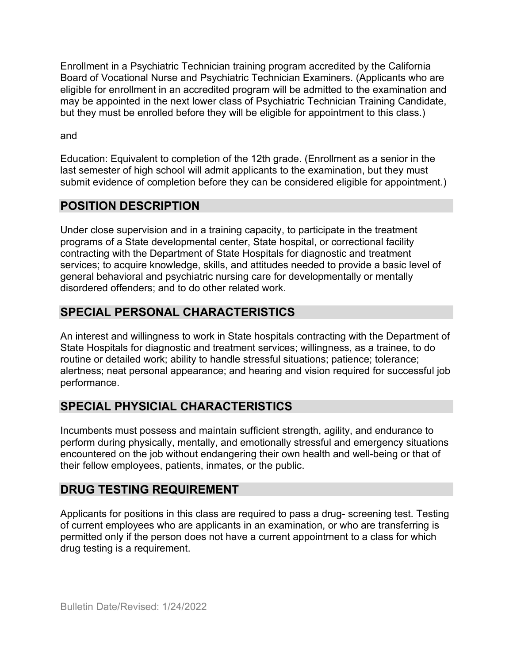Enrollment in a Psychiatric Technician training program accredited by the California Board of Vocational Nurse and Psychiatric Technician Examiners. (Applicants who are eligible for enrollment in an accredited program will be admitted to the examination and may be appointed in the next lower class of Psychiatric Technician Training Candidate, but they must be enrolled before they will be eligible for appointment to this class.)

and

Education: Equivalent to completion of the 12th grade. (Enrollment as a senior in the last semester of high school will admit applicants to the examination, but they must submit evidence of completion before they can be considered eligible for appointment.)

## **POSITION DESCRIPTION**

Under close supervision and in a training capacity, to participate in the treatment programs of a State developmental center, State hospital, or correctional facility contracting with the Department of State Hospitals for diagnostic and treatment services; to acquire knowledge, skills, and attitudes needed to provide a basic level of general behavioral and psychiatric nursing care for developmentally or mentally disordered offenders; and to do other related work.

## **SPECIAL PERSONAL CHARACTERISTICS**

An interest and willingness to work in State hospitals contracting with the Department of State Hospitals for diagnostic and treatment services; willingness, as a trainee, to do routine or detailed work; ability to handle stressful situations; patience; tolerance; alertness; neat personal appearance; and hearing and vision required for successful job performance.

## **SPECIAL PHYSICIAL CHARACTERISTICS**

Incumbents must possess and maintain sufficient strength, agility, and endurance to perform during physically, mentally, and emotionally stressful and emergency situations encountered on the job without endangering their own health and well-being or that of their fellow employees, patients, inmates, or the public.

#### **DRUG TESTING REQUIREMENT**

Applicants for positions in this class are required to pass a drug- screening test. Testing of current employees who are applicants in an examination, or who are transferring is permitted only if the person does not have a current appointment to a class for which drug testing is a requirement.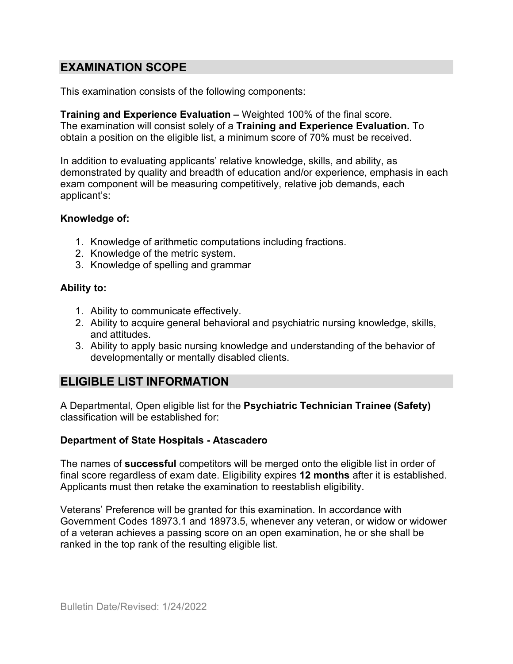## **EXAMINATION SCOPE**

This examination consists of the following components:

**Training and Experience Evaluation –** Weighted 100% of the final score. The examination will consist solely of a **Training and Experience Evaluation.** To obtain a position on the eligible list, a minimum score of 70% must be received.

In addition to evaluating applicants' relative knowledge, skills, and ability, as demonstrated by quality and breadth of education and/or experience, emphasis in each exam component will be measuring competitively, relative job demands, each applicant's:

#### **Knowledge of:**

- 1. Knowledge of arithmetic computations including fractions.
- 2. Knowledge of the metric system.
- 3. Knowledge of spelling and grammar

#### **Ability to:**

- 1. Ability to communicate effectively.
- 2. Ability to acquire general behavioral and psychiatric nursing knowledge, skills, and attitudes.
- 3. Ability to apply basic nursing knowledge and understanding of the behavior of developmentally or mentally disabled clients.

#### **ELIGIBLE LIST INFORMATION**

A Departmental, Open eligible list for the **Psychiatric Technician Trainee (Safety)** classification will be established for:

#### **Department of State Hospitals - Atascadero**

The names of **successful** competitors will be merged onto the eligible list in order of final score regardless of exam date. Eligibility expires **12 months** after it is established. Applicants must then retake the examination to reestablish eligibility.

Veterans' Preference will be granted for this examination. In accordance with Government Codes 18973.1 and 18973.5, whenever any veteran, or widow or widower of a veteran achieves a passing score on an open examination, he or she shall be ranked in the top rank of the resulting eligible list.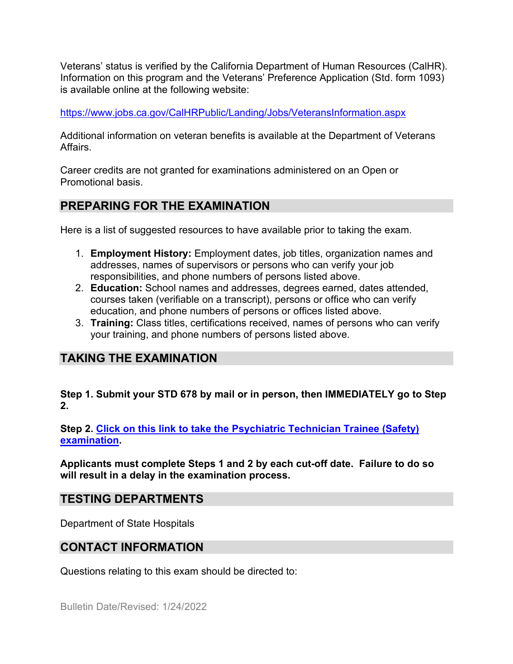Veterans' status is verified by the California Department of Human Resources (CalHR). Information on this program and the Veterans' Preference Application (Std. form 1093) is available online at the following website:

<https://www.jobs.ca.gov/CalHRPublic/Landing/Jobs/VeteransInformation.aspx>

Additional information on veteran benefits is available at the Department of Veterans Affairs.

Career credits are not granted for examinations administered on an Open or Promotional basis.

## **PREPARING FOR THE EXAMINATION**

Here is a list of suggested resources to have available prior to taking the exam.

- 1. **Employment History:** Employment dates, job titles, organization names and addresses, names of supervisors or persons who can verify your job responsibilities, and phone numbers of persons listed above.
- 2. **Education:** School names and addresses, degrees earned, dates attended, courses taken (verifiable on a transcript), persons or office who can verify education, and phone numbers of persons or offices listed above.
- 3. **Training:** Class titles, certifications received, names of persons who can verify your training, and phone numbers of persons listed above.

## **TAKING THE EXAMINATION**

**Step 1. Submit your STD 678 by mail or in person, then IMMEDIATELY go to Step 2.**

**Step 2. Click on this link to [take the Psychiatric Technician Trainee \(Safety\)](https://www.dsh.ca.gov/Jobs/docs/Classifications/Psychiatric_Technician_Trainee_Safety_T_and_E.pdf) [examination.](https://www.dsh.ca.gov/Jobs/docs/Classifications/Psychiatric_Technician_Trainee_Safety_T_and_E.pdf)**

**Applicants must complete Steps 1 and 2 by each cut-off date. Failure to do so will result in a delay in the examination process.**

## **TESTING DEPARTMENTS**

Department of State Hospitals

#### **CONTACT INFORMATION**

Questions relating to this exam should be directed to: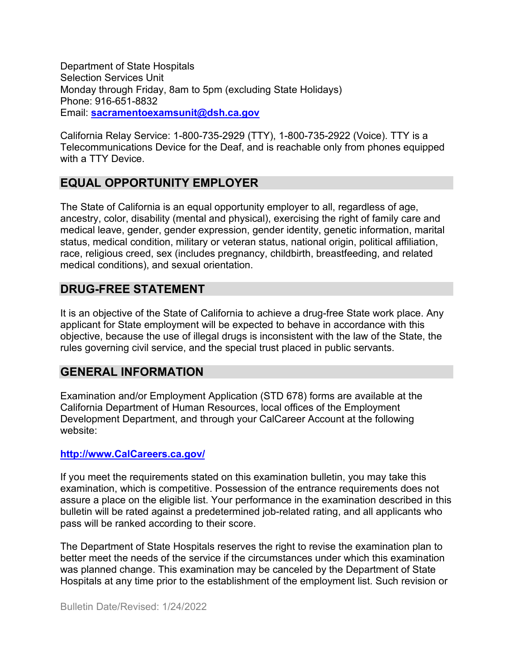Department of State Hospitals Selection Services Unit Monday through Friday, 8am to 5pm (excluding State Holidays) Phone: 916-651-8832 Email: **[sacramentoexamsunit@dsh.ca.gov](mailto:sacramentoexamsunit@dsh.ca.gov)** 

California Relay Service: 1-800-735-2929 (TTY), 1-800-735-2922 (Voice). TTY is a Telecommunications Device for the Deaf, and is reachable only from phones equipped with a TTY Device.

## **EQUAL OPPORTUNITY EMPLOYER**

The State of California is an equal opportunity employer to all, regardless of age, ancestry, color, disability (mental and physical), exercising the right of family care and medical leave, gender, gender expression, gender identity, genetic information, marital status, medical condition, military or veteran status, national origin, political affiliation, race, religious creed, sex (includes pregnancy, childbirth, breastfeeding, and related medical conditions), and sexual orientation.

## **DRUG-FREE STATEMENT**

It is an objective of the State of California to achieve a drug-free State work place. Any applicant for State employment will be expected to behave in accordance with this objective, because the use of illegal drugs is inconsistent with the law of the State, the rules governing civil service, and the special trust placed in public servants.

#### **GENERAL INFORMATION**

Examination and/or Employment Application (STD 678) forms are available at the California Department of Human Resources, local offices of the Employment Development Department, and through your CalCareer Account at the following website:

#### **http://www.CalCareers.ca.gov/**

If you meet the requirements stated on this examination bulletin, you may take this examination, which is competitive. Possession of the entrance requirements does not assure a place on the eligible list. Your performance in the examination described in this bulletin will be rated against a predetermined job-related rating, and all applicants who pass will be ranked according to their score.

The Department of State Hospitals reserves the right to revise the examination plan to better meet the needs of the service if the circumstances under which this examination was planned change. This examination may be canceled by the Department of State Hospitals at any time prior to the establishment of the employment list. Such revision or